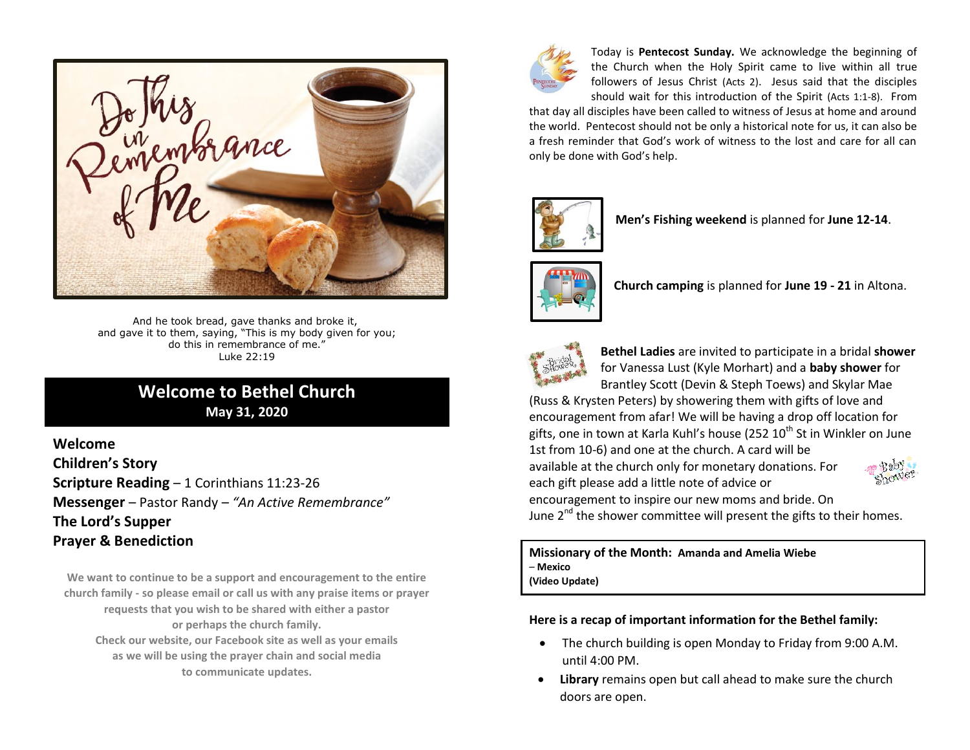

And he took bread, gave thanks and broke it, and gave it to them, saying, "This is my body given for you; do this in remembrance of me." Luke 22:19

# **Welcome to Bethel Church May 31, 2020**

## **Welcome Children's Story Scripture Reading** – 1 Corinthians 11:23-26 **Messenger** – Pastor Randy – *"An Active Remembrance"* **The Lord's Supper Prayer & Benediction**

**We want to continue to be a support and encouragement to the entire church family - so please email or call us with any praise items or prayer requests that you wish to be shared with either a pastor or perhaps the church family. Check our website, our Facebook site as well as your emails as we will be using the prayer chain and social media to communicate updates.**



Today is **Pentecost Sunday.** We acknowledge the beginning of the Church when the Holy Spirit came to live within all true followers of Jesus Christ (Acts 2). Jesus said that the disciples should wait for this introduction of the Spirit (Acts 1:1-8). From

that day all disciples have been called to witness of Jesus at home and around the world. Pentecost should not be only a historical note for us, it can also be a fresh reminder that God's work of witness to the lost and care for all can only be done with God's help.



**Men's Fishing weekend** is planned for **June 12-14**.



**Church camping** is planned for **June 19 - 21** in Altona.



**Bethel Ladies** are invited to participate in a bridal **shower** for Vanessa Lust (Kyle Morhart) and a **baby shower** for Brantley Scott (Devin & Steph Toews) and Skylar Mae

(Russ & Krysten Peters) by showering them with gifts of love and encouragement from afar! We will be having a drop off location for gifts, one in town at Karla Kuhl's house (252  $10^{th}$  St in Winkler on June

1st from 10-6) and one at the church. A card will be available at the church only for monetary donations. For each gift please add a little note of advice or encouragement to inspire our new moms and bride. On



June  $2^{nd}$  the shower committee will present the gifts to their homes.

**Missionary of the Month: Amanda and Amelia Wiebe** – **Mexico (Video Update)**

**Here is a recap of important information for the Bethel family:**

- The church building is open Monday to Friday from 9:00 A.M. until 4:00 PM.
- **Library** remains open but call ahead to make sure the church doors are open.